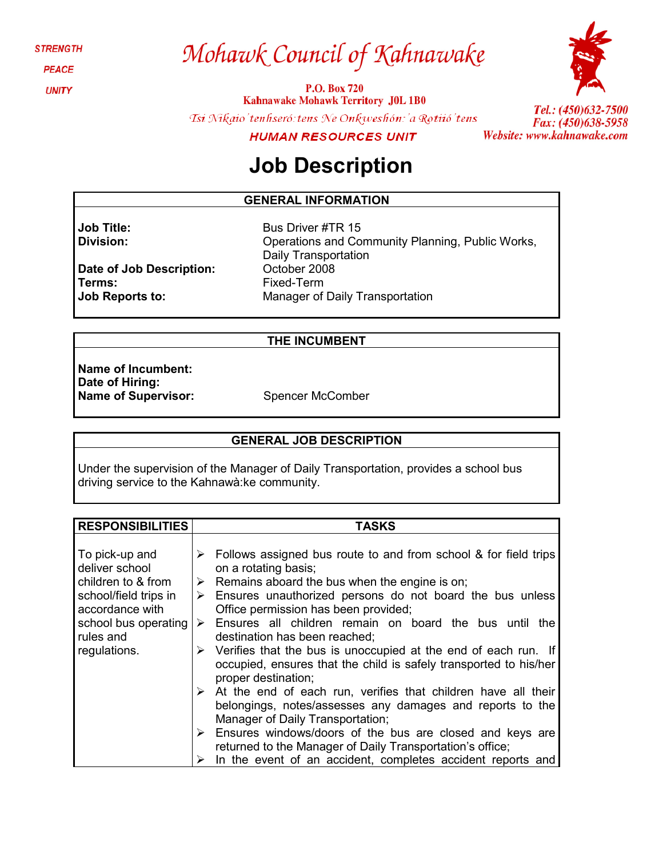**STRENGTH** 

**PEACE** 

**UNITY** 

# Mohawk Council of Kahnawake

P.O. Box 720 **Kahnawake Mohawk Territory J0L 1B0** 

Tsi Nikaio'tenhseró: tens Ne Onkweshón: 'a Rotiió'tens



Tel.: (450)632-7500 Fax: (450)638-5958 Website: www.kahnawake.com

**HUMAN RESOURCES UNIT** 

## **Job Description**

#### **GENERAL INFORMATION**

Bus Driver #TR 15

**Job Title: Division:**

**Terms:**

**Job Reports to:**

**Date of Job Description:** Operations and Community Planning, Public Works, Daily Transportation October 2008 Fixed-Term Manager of Daily Transportation

#### **THE INCUMBENT**

**Name of Incumbent: Date of Hiring: Name of Supervisor:** Spencer McComber

#### **GENERAL JOB DESCRIPTION**

Under the supervision of the Manager of Daily Transportation, provides a school bus driving service to the Kahnawà:ke community.

| <b>RESPONSIBILITIES</b> | <b>TASKS</b>                                                                     |
|-------------------------|----------------------------------------------------------------------------------|
|                         |                                                                                  |
| To pick-up and          | $\triangleright$ Follows assigned bus route to and from school & for field trips |
| deliver school          | on a rotating basis;                                                             |
| children to & from      | $\triangleright$ Remains aboard the bus when the engine is on;                   |
| school/field trips in   | $\triangleright$ Ensures unauthorized persons do not board the bus unless        |
| accordance with         | Office permission has been provided;                                             |
| school bus operating    | Ensures all children remain on board the bus until the<br>$\triangleright$       |
| rules and               | destination has been reached;                                                    |
| regulations.            | $\triangleright$ Verifies that the bus is unoccupied at the end of each run. If  |
|                         | occupied, ensures that the child is safely transported to his/her                |
|                         | proper destination;                                                              |
|                         | $\triangleright$ At the end of each run, verifies that children have all their   |
|                         | belongings, notes/assesses any damages and reports to the                        |
|                         | Manager of Daily Transportation;                                                 |
|                         | $\triangleright$ Ensures windows/doors of the bus are closed and keys are        |
|                         | returned to the Manager of Daily Transportation's office;                        |
|                         | In the event of an accident, completes accident reports and                      |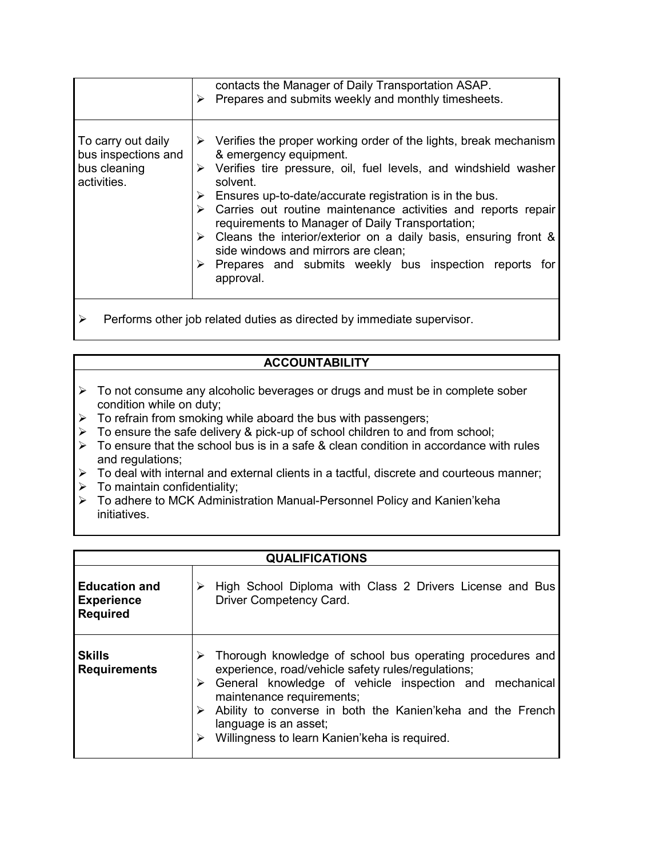|                                                                          | contacts the Manager of Daily Transportation ASAP.<br>Prepares and submits weekly and monthly timesheets.                                                                                                                                                                                                                                                                                                                                                                                                                                                                                                                                        |  |
|--------------------------------------------------------------------------|--------------------------------------------------------------------------------------------------------------------------------------------------------------------------------------------------------------------------------------------------------------------------------------------------------------------------------------------------------------------------------------------------------------------------------------------------------------------------------------------------------------------------------------------------------------------------------------------------------------------------------------------------|--|
| To carry out daily<br>bus inspections and<br>bus cleaning<br>activities. | $\triangleright$ Verifies the proper working order of the lights, break mechanism<br>& emergency equipment.<br>$\triangleright$ Verifies tire pressure, oil, fuel levels, and windshield washer<br>solvent.<br>$\triangleright$ Ensures up-to-date/accurate registration is in the bus.<br>$\triangleright$ Carries out routine maintenance activities and reports repair<br>requirements to Manager of Daily Transportation;<br>$\triangleright$ Cleans the interior/exterior on a daily basis, ensuring front &<br>side windows and mirrors are clean;<br>$\triangleright$ Prepares and submits weekly bus inspection reports for<br>approval. |  |
| Performs other job related duties as directed by immediate supervisor.   |                                                                                                                                                                                                                                                                                                                                                                                                                                                                                                                                                                                                                                                  |  |

### **ACCOUNTABILITY**

- $\triangleright$  To not consume any alcoholic beverages or drugs and must be in complete sober condition while on duty;
- $\triangleright$  To refrain from smoking while aboard the bus with passengers;
- > To ensure the safe delivery & pick-up of school children to and from school;
- $\triangleright$  To ensure that the school bus is in a safe & clean condition in accordance with rules and regulations;
- $\triangleright$  To deal with internal and external clients in a tactful, discrete and courteous manner;
- $\triangleright$  To maintain confidentiality;
- → To manual connective and y<br>
→ To adhere to MCK Administration Manual-Personnel Policy and Kanien'keha initiatives.

| <b>QUALIFICATIONS</b>                                        |                                                                                                                                                                                                                                                                                                                                                |  |
|--------------------------------------------------------------|------------------------------------------------------------------------------------------------------------------------------------------------------------------------------------------------------------------------------------------------------------------------------------------------------------------------------------------------|--|
| <b>Education and</b><br><b>Experience</b><br><b>Required</b> | High School Diploma with Class 2 Drivers License and Bus<br>Driver Competency Card.                                                                                                                                                                                                                                                            |  |
| <b>Skills</b><br><b>Requirements</b>                         | Thorough knowledge of school bus operating procedures and<br>experience, road/vehicle safety rules/regulations;<br>General knowledge of vehicle inspection and mechanical<br>maintenance requirements;<br>Ability to converse in both the Kanien'keha and the French<br>language is an asset;<br>Willingness to learn Kanien'keha is required. |  |